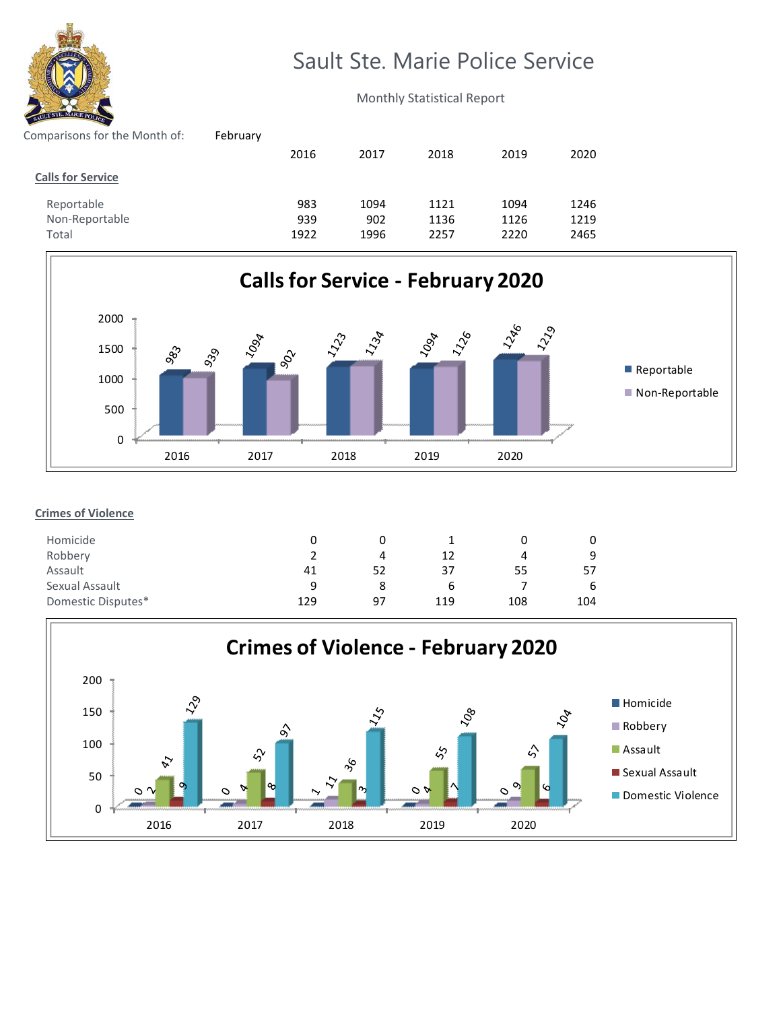

## Sault Ste. Marie Police Service

Monthly Statistical Report

| February |      |      |      |      |      |
|----------|------|------|------|------|------|
|          | 2016 | 2017 | 2018 | 2019 | 2020 |
|          |      |      |      |      |      |
|          | 983  | 1094 | 1121 | 1094 | 1246 |
|          | 939  | 902  | 1136 | 1126 | 1219 |
|          | 1922 | 1996 | 2257 | 2220 | 2465 |
|          |      |      |      |      |      |



## **Crimes of Violence**

| Homicide           |     |    |     |     |     |
|--------------------|-----|----|-----|-----|-----|
| Robbery            |     | Д  | 12  |     | a   |
| Assault            | 41  | 52 | 37  | 55  | 57  |
| Sexual Assault     | q   |    | b   |     | b   |
| Domestic Disputes* | 129 | 97 | 119 | 108 | 104 |